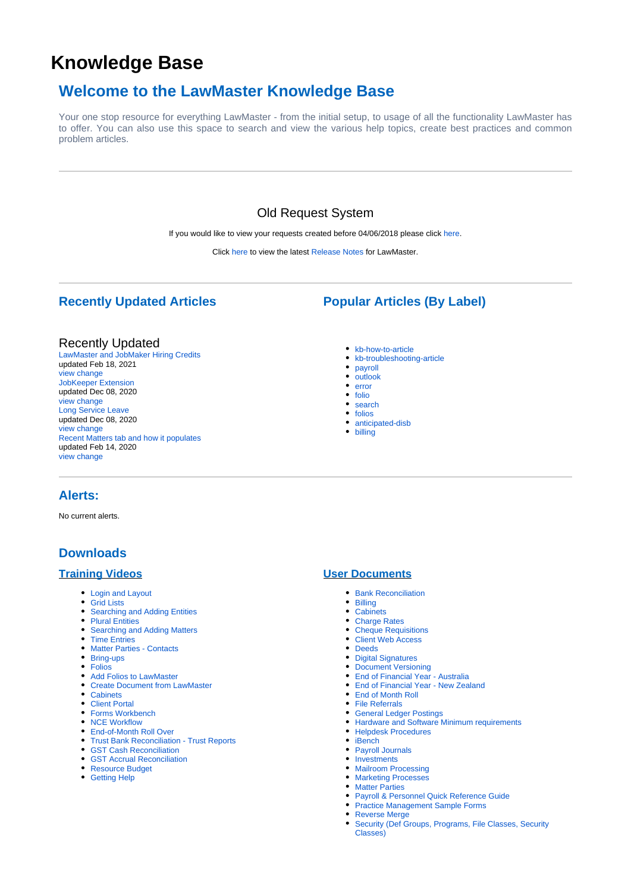# <span id="page-0-0"></span>**Knowledge Base**

## **Welcome to the LawMaster Knowledge Base**

Your one stop resource for everything LawMaster - from the initial setup, to usage of all the functionality LawMaster has to offer. You can also use this space to search and view the various help topics, create best practices and common problem articles.

## Old Request System

If you would like to view your requests created before 04/06/2018 please click [here.](https://request.lawmaster.com.au/LawMaster.Old.Request)

Click [here](https://kb.lawmaster.com.au/display/LF/Release+Notes) to view the latest [Release Notes](https://kb.lawmaster.com.au/display/LF/Release+Notes) for LawMaster.

## **Recently Updated Articles**

#### Recently Updated

[LawMaster and JobMaker Hiring Credits](https://kb.lawmaster.com.au/display/LF/LawMaster+and+JobMaker+Hiring+Credits) updated Feb 18, 2021 [view change](https://kb.lawmaster.com.au/pages/diffpagesbyversion.action?pageId=81264979&selectedPageVersions=2&selectedPageVersions=1) [JobKeeper Extension](https://kb.lawmaster.com.au/display/LF/JobKeeper+Extension) updated Dec 08, 2020 [view change](https://kb.lawmaster.com.au/pages/diffpagesbyversion.action?pageId=74350655&selectedPageVersions=8&selectedPageVersions=7) [Long Service Leave](https://kb.lawmaster.com.au/display/LF/Long+Service+Leave) updated Dec 08, 2020 [view change](https://kb.lawmaster.com.au/pages/diffpagesbyversion.action?pageId=78512176&selectedPageVersions=7&selectedPageVersions=6) [Recent Matters tab and how it populates](https://kb.lawmaster.com.au/display/LF/Recent+Matters+tab+and+how+it+populates) updated Feb 14, 2020 [view change](https://kb.lawmaster.com.au/pages/diffpagesbyversion.action?pageId=61505607&selectedPageVersions=2&selectedPageVersions=1)

#### • [kb-how-to-article](https://kb.lawmaster.com.au/label/kb-how-to-article)

[kb-troubleshooting-article](https://kb.lawmaster.com.au/label/kb-troubleshooting-article)

**Popular Articles (By Label)**

- [payroll](https://kb.lawmaster.com.au/label/payroll)
- $\bullet$  [outlook](https://kb.lawmaster.com.au/label/outlook)
- [error](https://kb.lawmaster.com.au/label/error)
- $\bullet$  [folio](https://kb.lawmaster.com.au/label/folio)
- [search](https://kb.lawmaster.com.au/label/search)
- [folios](https://kb.lawmaster.com.au/label/folios)
- [anticipated-disb](https://kb.lawmaster.com.au/label/anticipated-disb)
- [billing](https://kb.lawmaster.com.au/label/billing)

### **Alerts:**

No current alerts.

## **Downloads**

#### **Training Videos**

- [Login and Layout](https://youtu.be/dAwBdXNxgtk)
- [Grid Lists](https://youtu.be/41IkgXpmiwA)
- [Searching and Adding Entities](https://youtu.be/S66hBO2Csyw)
- [Plural Entities](https://youtu.be/EqyaHI6Vtwk)
- [Searching and Adding Matters](https://youtu.be/IAFd0AcXEOw) • [Time Entries](https://youtu.be/fQz9AA-CcCE)
- [Matter Parties Contacts](https://youtu.be/eeVen6pqxrc)
- [Bring-ups](https://youtu.be/GJmrN8lA6wM)
- [Folios](https://youtu.be/wkp-geQWLs0)
- [Add Folios to LawMaster](https://youtu.be/PkwS5KoEJys)
- [Create Document from LawMaster](https://youtu.be/_OGkdliRl-g)
- [Cabinets](https://youtu.be/hrF1g8yLVsY)
- [Client Portal](https://youtu.be/q2dXavp3El8)
- [Forms Workbench](https://youtu.be/0X7x5h3YNOg)
- [NCE Workflow](https://youtu.be/vJVR_U9fPVU)
- [End-of-Month Roll Over](https://youtu.be/Gx8_Z9yCWZY)
- [Trust Bank Reconciliation Trust Reports](https://www.youtube.com/watch?v=KF5i0S3dZVg)
- [GST Cash Reconciliation](https://youtu.be/xYN3jHHhrqg)
- [GST Accrual Reconciliation](https://youtu.be/U5dYyxR-zBo) • [Resource Budget](https://youtu.be/J4S5Kq2_B4U)
- 
- [Getting Help](https://youtu.be/XcHVzGKaqOY)

#### **User Documents**

- [Bank Reconciliation](https://kb.lawmaster.com.au/display/LF/Bank+Reconciliation)
- [Billing](https://kb.lawmaster.com.au/download/attachments/8650839/Billing%20Process.pdf?version=1&modificationDate=1571871535833&api=v2)
- [Cabinets](https://kb.lawmaster.com.au/download/attachments/8650839/F984170%20Cabinets_V2.0.docx.pdf?version=2&modificationDate=1523542912250&api=v2)
- [Charge Rates](https://kb.lawmaster.com.au/display/LF/Set+different+charge+rates+for+a+matter)
- [Cheque Requisitions](https://kb.lawmaster.com.au/download/attachments/8650839/F986566%20ChequeRequisitions_V1.0.docx?version=1&modificationDate=1526953918980&api=v2)
- [Client Web Access](https://kb.lawmaster.com.au/download/attachments/8650839/F895223%20LM_ClientWebAccess_V0.1.docx?version=1&modificationDate=1526954047377&api=v2)
- [Deeds](https://kb.lawmaster.com.au/download/attachments/8650839/F986293%20Deeds_V2.0.docx?version=1&modificationDate=1526953958980&api=v2)
- [Digital Signatures](https://kb.lawmaster.com.au/download/attachments/8650839/Digital%20Signatures%20v1.1.pdf?version=3&modificationDate=1591319882080&api=v2)
- [Document Versioning](https://kb.lawmaster.com.au/download/attachments/8650839/DocumentVersioning_V1.3.pdf?version=1&modificationDate=1592973522790&api=v2)
- [End of Financial Year Australia](https://kb.lawmaster.com.au/download/attachments/8650839/2022%20End%20of%20Year%20Processing%20Guide.pdf?version=1&modificationDate=1655274891623&api=v2)
- [End of Financial Year New Zealand](https://kb.lawmaster.com.au/download/attachments/8650839/NZ_EOFY2019.pdf?version=1&modificationDate=1552625340423&api=v2)
- 
- 
- 
- [Hardware and Software Minimum requirements](https://kb.lawmaster.com.au/download/attachments/8650839/F1092759%20LawMaster%20Minimum%20Requirments%20-%2020190312.pdf?version=1&modificationDate=1552342580027&api=v2) [Helpdesk Procedures](https://kb.lawmaster.com.au/download/attachments/8650839/Helpdesk%20Procedures%20-%20v5_1.pdf?version=1&modificationDate=1637798370813&api=v2)
- $\bullet$  [iBench](https://kb.lawmaster.com.au/download/attachments/8650839/F784450%20iBench%20User%20Guide.docx?version=1&modificationDate=1543458201887&api=v2)
- [Payroll Journals](https://kb.lawmaster.com.au/display/LF/Payroll+Journals)
- [Investments](https://kb.lawmaster.com.au/download/attachments/8650839/Investments_V1.0.docx?version=1&modificationDate=1555311764477&api=v2)
- [Mailroom Processing](https://kb.lawmaster.com.au/download/attachments/8650839/F971281%20Mailroom%20Processing%20-%20eFile%20-%20PaperLite_V1.0.docx?version=1&modificationDate=1557464404733&api=v2)
- **[Marketing Processes](https://kb.lawmaster.com.au/download/attachments/8650839/MarketingProcesses_V1.0.docx?version=1&modificationDate=1526955023723&api=v2)**
- [Matter Parties](https://kb.lawmaster.com.au/download/attachments/8650839/F991146%20MatterParties_V1.0.docx?version=1&modificationDate=1526954969623&api=v2)
- [Payroll & Personnel Quick Reference Guide](https://kb.lawmaster.com.au/download/attachments/8650839/F981014%20Edits_%20Payroll%20Processing%20Quick%20Reference%20Guide%20-%20LMS.docx?version=1&modificationDate=1526955044857&api=v2)
- [Practice Management Sample Forms](http://members.lawmaster.com.au/memberswp/wp-content/downloads/other//PracticeManagement_Sample_Forms_12-11-2018.exe)
- [Reverse Merge](https://kb.lawmaster.com.au/download/attachments/8650839/Reverse%20Merge.pdf?version=1&modificationDate=1548988010413&api=v2)
- [Security \(Def Groups, Programs, File Classes, Security](https://kb.lawmaster.com.au/download/attachments/8650839/F1073080%20Security%20%28Def%20Groups%2C%20Programs%2C%20File%20Classes%2C%20Security%20Classes%29.pdf?version=1&modificationDate=1557101394747&api=v2)  [Classes\)](https://kb.lawmaster.com.au/download/attachments/8650839/F1073080%20Security%20%28Def%20Groups%2C%20Programs%2C%20File%20Classes%2C%20Security%20Classes%29.pdf?version=1&modificationDate=1557101394747&api=v2)
- -
	-
	-
	-
	- [End of Month Roll](https://kb.lawmaster.com.au/display/LF/End+of+Month+Roll)
	- [File Referrals](https://kb.lawmaster.com.au/download/attachments/8650839/F987094%20FileReferrals_V1.0.docx?version=1&modificationDate=1526953939170&api=v2)
	- [General Ledger Postings](https://kb.lawmaster.com.au/download/attachments/8650839/LawMaster%20Postings.pdf?version=1&modificationDate=1565053641040&api=v2)